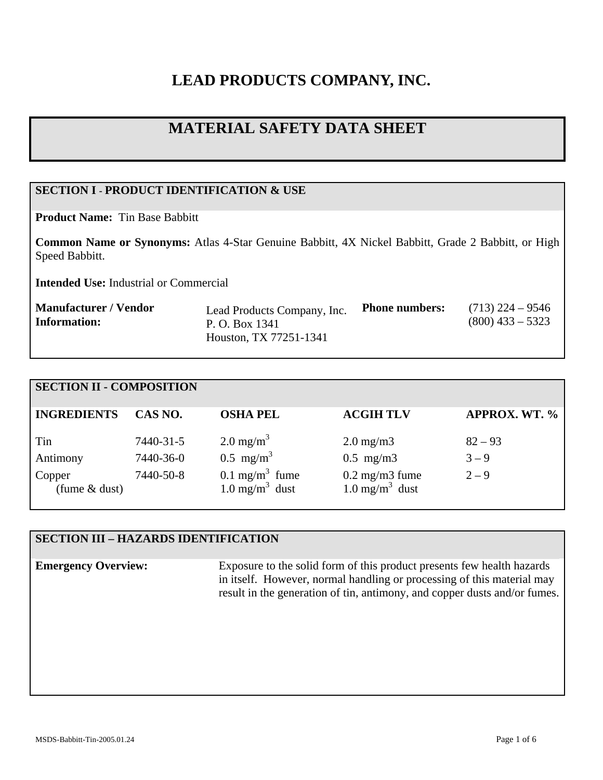# **LEAD PRODUCTS COMPANY, INC.**

# **MATERIAL SAFETY DATA SHEET**

## **SECTION I - PRODUCT IDENTIFICATION & USE**

**Product Name:** Tin Base Babbitt

**Common Name or Synonyms:** Atlas 4-Star Genuine Babbitt, 4X Nickel Babbitt, Grade 2 Babbitt, or High Speed Babbitt.

**Intended Use:** Industrial or Commercial

| <b>Manufacturer / Vendor</b> | Lead Products Company, Inc. | <b>Phone numbers:</b> | $(713)$ 224 – 9546 |
|------------------------------|-----------------------------|-----------------------|--------------------|
| <b>Information:</b>          | P. O. Box 1341              |                       | $(800)$ 433 – 5323 |
|                              | Houston, TX 77251-1341      |                       |                    |

| <b>SECTION II - COMPOSITION</b> |           |                                                        |                                                        |                      |
|---------------------------------|-----------|--------------------------------------------------------|--------------------------------------------------------|----------------------|
| <b>INGREDIENTS</b>              | CAS NO.   | <b>OSHA PEL</b>                                        | <b>ACGIH TLV</b>                                       | <b>APPROX. WT. %</b> |
| Tin                             | 7440-31-5 | $2.0 \text{ mg/m}^3$                                   | $2.0 \text{ mg/m}$                                     | $82 - 93$            |
| Antimony                        | 7440-36-0 | $0.5$ mg/m <sup>3</sup>                                | $0.5$ mg/m $3$                                         | $3 - 9$              |
| Copper<br>(fume $&$ dust)       | 7440-50-8 | $0.1 \text{ mg/m}^3$ fume<br>$1.0 \text{ mg/m}^3$ dust | $0.2 \text{ mg/m}$ 3 fume<br>$1.0 \text{ mg/m}^3$ dust | $2 - 9$              |

# **SECTION III – HAZARDS IDENTIFICATION**

**Emergency Overview:** Exposure to the solid form of this product presents few health hazards in itself. However, normal handling or processing of this material may result in the generation of tin, antimony, and copper dusts and/or fumes.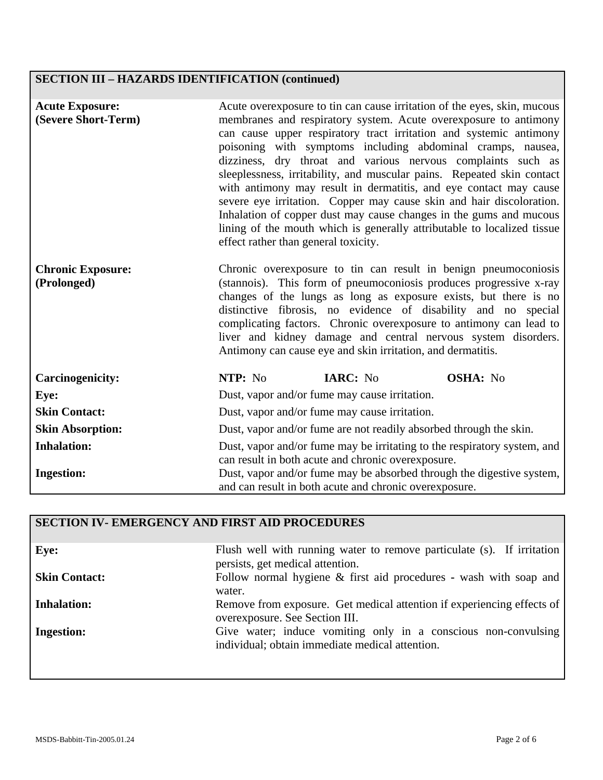# **SECTION III – HAZARDS IDENTIFICATION (continued)**

| <b>Acute Exposure:</b><br>(Severe Short-Term) | Acute over exposure to tin can cause irritation of the eyes, skin, mucous<br>membranes and respiratory system. Acute overexposure to antimony<br>can cause upper respiratory tract irritation and systemic antimony<br>poisoning with symptoms including abdominal cramps, nausea,<br>dizziness, dry throat and various nervous complaints such as<br>sleeplessness, irritability, and muscular pains. Repeated skin contact<br>with antimony may result in dermatitis, and eye contact may cause<br>severe eye irritation. Copper may cause skin and hair discoloration.<br>Inhalation of copper dust may cause changes in the gums and mucous<br>lining of the mouth which is generally attributable to localized tissue<br>effect rather than general toxicity. |  |  |
|-----------------------------------------------|--------------------------------------------------------------------------------------------------------------------------------------------------------------------------------------------------------------------------------------------------------------------------------------------------------------------------------------------------------------------------------------------------------------------------------------------------------------------------------------------------------------------------------------------------------------------------------------------------------------------------------------------------------------------------------------------------------------------------------------------------------------------|--|--|
| <b>Chronic Exposure:</b><br>(Prolonged)       | Chronic overexposure to tin can result in benign pneumoconiosis<br>(stannois). This form of pneumoconiosis produces progressive x-ray<br>changes of the lungs as long as exposure exists, but there is no<br>distinctive fibrosis, no evidence of disability and no special<br>complicating factors. Chronic overexposure to antimony can lead to<br>liver and kidney damage and central nervous system disorders.<br>Antimony can cause eye and skin irritation, and dermatitis.                                                                                                                                                                                                                                                                                  |  |  |
| <b>Carcinogenicity:</b>                       | NTP: No<br>IARC: No<br><b>OSHA: No</b>                                                                                                                                                                                                                                                                                                                                                                                                                                                                                                                                                                                                                                                                                                                             |  |  |
| Eye:                                          | Dust, vapor and/or fume may cause irritation.                                                                                                                                                                                                                                                                                                                                                                                                                                                                                                                                                                                                                                                                                                                      |  |  |
| <b>Skin Contact:</b>                          | Dust, vapor and/or fume may cause irritation.                                                                                                                                                                                                                                                                                                                                                                                                                                                                                                                                                                                                                                                                                                                      |  |  |
| <b>Skin Absorption:</b>                       | Dust, vapor and/or fume are not readily absorbed through the skin.                                                                                                                                                                                                                                                                                                                                                                                                                                                                                                                                                                                                                                                                                                 |  |  |
| <b>Inhalation:</b>                            | Dust, vapor and/or fume may be irritating to the respiratory system, and<br>can result in both acute and chronic overexposure.                                                                                                                                                                                                                                                                                                                                                                                                                                                                                                                                                                                                                                     |  |  |
| <b>Ingestion:</b>                             | Dust, vapor and/or fume may be absorbed through the digestive system,<br>and can result in both acute and chronic overexposure.                                                                                                                                                                                                                                                                                                                                                                                                                                                                                                                                                                                                                                    |  |  |

# **SECTION IV- EMERGENCY AND FIRST AID PROCEDURES**

| Eye:                 | Flush well with running water to remove particulate (s). If irritation<br>persists, get medical attention.        |
|----------------------|-------------------------------------------------------------------------------------------------------------------|
| <b>Skin Contact:</b> | Follow normal hygiene $\&$ first aid procedures - wash with soap and<br>water.                                    |
| <b>Inhalation:</b>   | Remove from exposure. Get medical attention if experiencing effects of<br>overexposure. See Section III.          |
| <b>Ingestion:</b>    | Give water; induce vomiting only in a conscious non-convulsing<br>individual; obtain immediate medical attention. |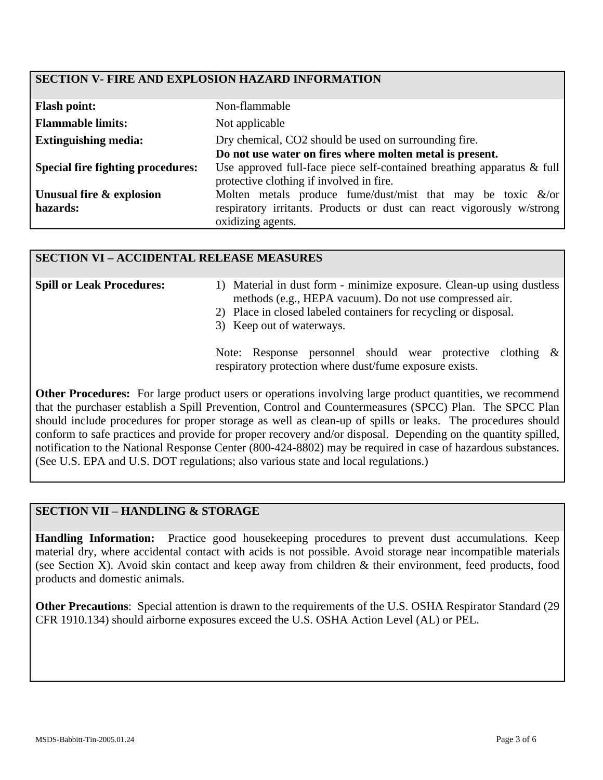### **SECTION V- FIRE AND EXPLOSION HAZARD INFORMATION**

| <b>Flash point:</b>                      | Non-flammable                                                                                                         |
|------------------------------------------|-----------------------------------------------------------------------------------------------------------------------|
| <b>Flammable limits:</b>                 | Not applicable                                                                                                        |
| <b>Extinguishing media:</b>              | Dry chemical, CO2 should be used on surrounding fire.                                                                 |
|                                          | Do not use water on fires where molten metal is present.                                                              |
| <b>Special fire fighting procedures:</b> | Use approved full-face piece self-contained breathing apparatus $\&$ full<br>protective clothing if involved in fire. |
| Unusual fire & explosion                 | Molten metals produce fume/dust/mist that may be toxic $\&$ /or                                                       |
| hazards:                                 | respiratory irritants. Products or dust can react vigorously w/strong                                                 |
|                                          | oxidizing agents.                                                                                                     |

#### **SECTION VI – ACCIDENTAL RELEASE MEASURES**

#### **Spill or Leak Procedures:**

- 1) Material in dust form minimize exposure. Clean-up using dustless methods (e.g., HEPA vacuum). Do not use compressed air.
- 2) Place in closed labeled containers for recycling or disposal.
- 3) Keep out of waterways.

Note: Response personnel should wear protective clothing & respiratory protection where dust/fume exposure exists.

**Other Procedures:** For large product users or operations involving large product quantities, we recommend that the purchaser establish a Spill Prevention, Control and Countermeasures (SPCC) Plan. The SPCC Plan should include procedures for proper storage as well as clean-up of spills or leaks. The procedures should conform to safe practices and provide for proper recovery and/or disposal. Depending on the quantity spilled, notification to the National Response Center (800-424-8802) may be required in case of hazardous substances. (See U.S. EPA and U.S. DOT regulations; also various state and local regulations.)

### **SECTION VII – HANDLING & STORAGE**

**Handling Information:** Practice good housekeeping procedures to prevent dust accumulations. Keep material dry, where accidental contact with acids is not possible. Avoid storage near incompatible materials (see Section X). Avoid skin contact and keep away from children & their environment, feed products, food products and domestic animals.

**Other Precautions**: Special attention is drawn to the requirements of the U.S. OSHA Respirator Standard (29 CFR 1910.134) should airborne exposures exceed the U.S. OSHA Action Level (AL) or PEL.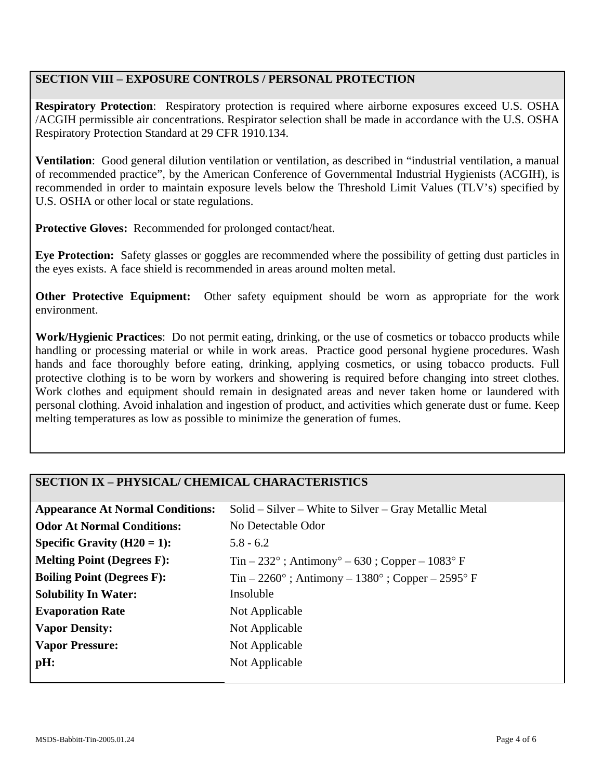## **SECTION VIII – EXPOSURE CONTROLS / PERSONAL PROTECTION**

**Respiratory Protection**: Respiratory protection is required where airborne exposures exceed U.S. OSHA /ACGIH permissible air concentrations. Respirator selection shall be made in accordance with the U.S. OSHA Respiratory Protection Standard at 29 CFR 1910.134.

**Ventilation**: Good general dilution ventilation or ventilation, as described in "industrial ventilation, a manual of recommended practice", by the American Conference of Governmental Industrial Hygienists (ACGIH), is recommended in order to maintain exposure levels below the Threshold Limit Values (TLV's) specified by U.S. OSHA or other local or state regulations.

**Protective Gloves:** Recommended for prolonged contact/heat.

**Eye Protection:** Safety glasses or goggles are recommended where the possibility of getting dust particles in the eyes exists. A face shield is recommended in areas around molten metal.

**Other Protective Equipment:** Other safety equipment should be worn as appropriate for the work environment.

**Work/Hygienic Practices**: Do not permit eating, drinking, or the use of cosmetics or tobacco products while handling or processing material or while in work areas. Practice good personal hygiene procedures. Wash hands and face thoroughly before eating, drinking, applying cosmetics, or using tobacco products. Full protective clothing is to be worn by workers and showering is required before changing into street clothes. Work clothes and equipment should remain in designated areas and never taken home or laundered with personal clothing. Avoid inhalation and ingestion of product, and activities which generate dust or fume. Keep melting temperatures as low as possible to minimize the generation of fumes.

# **SECTION IX – PHYSICAL/ CHEMICAL CHARACTERISTICS**

| <b>Appearance At Normal Conditions:</b> | Solid – Silver – White to Silver – Gray Metallic Metal |
|-----------------------------------------|--------------------------------------------------------|
| <b>Odor At Normal Conditions:</b>       | No Detectable Odor                                     |
| Specific Gravity $(H20 = 1)$ :          | $5.8 - 6.2$                                            |
| <b>Melting Point (Degrees F):</b>       | Tin – 232°; Antimony° – 630; Copper – 1083° F          |
| <b>Boiling Point (Degrees F):</b>       | Tin – 2260°; Antimony – 1380°; Copper – 2595° F        |
| <b>Solubility In Water:</b>             | Insoluble                                              |
| <b>Evaporation Rate</b>                 | Not Applicable                                         |
| <b>Vapor Density:</b>                   | Not Applicable                                         |
| <b>Vapor Pressure:</b>                  | Not Applicable                                         |
| pH:                                     | Not Applicable                                         |
|                                         |                                                        |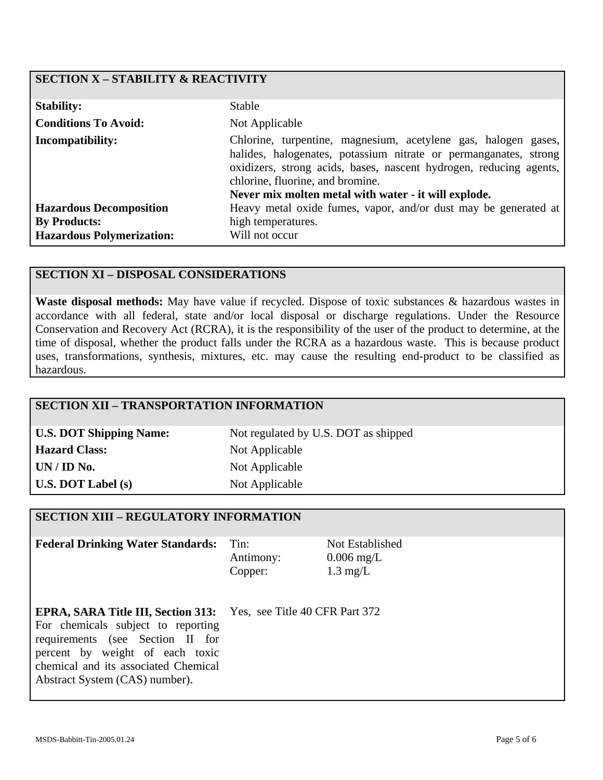| <b>SECTION X - STABILITY &amp; REACTIVITY</b>           |                                                                                                                                                                                                                                                                                                      |
|---------------------------------------------------------|------------------------------------------------------------------------------------------------------------------------------------------------------------------------------------------------------------------------------------------------------------------------------------------------------|
| <b>Stability:</b>                                       | <b>Stable</b>                                                                                                                                                                                                                                                                                        |
| <b>Conditions To Avoid:</b>                             | Not Applicable                                                                                                                                                                                                                                                                                       |
| <b>Incompatibility:</b>                                 | Chlorine, turpentine, magnesium, acetylene gas, halogen gases,<br>halides, halogenates, potassium nitrate or permanganates, strong<br>oxidizers, strong acids, bases, nascent hydrogen, reducing agents,<br>chlorine, fluorine, and bromine.<br>Never mix molten metal with water - it will explode. |
| <b>Hazardous Decomposition</b>                          | Heavy metal oxide fumes, vapor, and/or dust may be generated at                                                                                                                                                                                                                                      |
| <b>By Products:</b><br><b>Hazardous Polymerization:</b> | high temperatures.<br>Will not occur                                                                                                                                                                                                                                                                 |
|                                                         |                                                                                                                                                                                                                                                                                                      |

#### **SECTION XI – DISPOSAL CONSIDERATIONS**

**Waste disposal methods:** May have value if recycled. Dispose of toxic substances & hazardous wastes in accordance with all federal, state and/or local disposal or discharge regulations. Under the Resource Conservation and Recovery Act (RCRA), it is the responsibility of the user of the product to determine, at the time of disposal, whether the product falls under the RCRA as a hazardous waste. This is because product uses, transformations, synthesis, mixtures, etc. may cause the resulting end-product to be classified as hazardous.

#### **SECTION XII – TRANSPORTATION INFORMATION**

| <b>U.S. DOT Shipping Name:</b><br>Not regulated by U.S. DOT as shipped |  |
|------------------------------------------------------------------------|--|
| <b>Hazard Class:</b><br>Not Applicable                                 |  |
| UN / ID No.<br>Not Applicable                                          |  |
| <b>U.S. DOT Label (s)</b><br>Not Applicable                            |  |

# **SECTION XIII – REGULATORY INFORMATION**

| <b>Federal Drinking Water Standards:</b>                                                                                                                                                                                                                        | Tin:<br>Antimony:<br>Copper: | Not Established<br>$0.006$ mg/L<br>$1.3 \text{ mg/L}$ |
|-----------------------------------------------------------------------------------------------------------------------------------------------------------------------------------------------------------------------------------------------------------------|------------------------------|-------------------------------------------------------|
| <b>EPRA, SARA Title III, Section 313:</b> Yes, see Title 40 CFR Part 372<br>For chemicals subject to reporting<br>requirements (see Section II for<br>percent by weight of each toxic<br>chemical and its associated Chemical<br>Abstract System (CAS) number). |                              |                                                       |